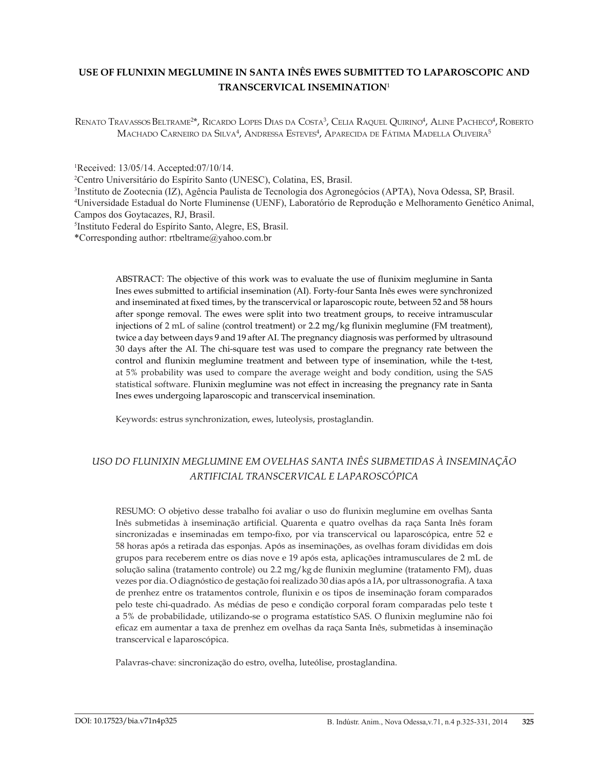# **USE OF FLUNIXIN MEGLUMINE IN SANTA INÊS EWES SUBMITTED TO LAPAROSCOPIC AND TRANSCERVICAL INSEMINATION**<sup>1</sup>

Renato Travassos Beltrame<sup>2\*</sup>, Ricardo Lopes Dias da Costa<sup>3</sup>, Celia Raquel Quirino<sup>4</sup>, Aline Pacheco<sup>4</sup>, Roberto Machado Carneiro da Silva<sup>4</sup>, Andressa Esteves<sup>4</sup>, Aparecida de Fátima Madella Oliveira<sup>5</sup>

1 Received: 13/05/14. Accepted:07/10/14.

2 Centro Universitário do Espírito Santo (UNESC), Colatina, ES, Brasil.

3 Instituto de Zootecnia (IZ), Agência Paulista de Tecnologia dos Agronegócios (APTA), Nova Odessa, SP, Brasil. 4 Universidade Estadual do Norte Fluminense (UENF), Laboratório de Reprodução e Melhoramento Genético Animal, Campos dos Goytacazes, RJ, Brasil.

5 Instituto Federal do Espírito Santo, Alegre, ES, Brasil.

\*Corresponding author: [rtbeltrame@yahoo.com.br](mailto:rtbeltrame@yahoo.com.br)

ABSTRACT: The objective of this work was to evaluate the use of flunixim meglumine in Santa Ines ewes submitted to artificial insemination (AI). Forty-four Santa Inês ewes were synchronized and inseminated at fixed times, by the transcervical or laparoscopic route, between 52 and 58 hours after sponge removal. The ewes were split into two treatment groups, to receive intramuscular injections of 2 mL of saline (control treatment) or 2.2 mg/kg flunixin meglumine (FM treatment), twice a day between days 9 and 19 after AI. The pregnancy diagnosis was performed by ultrasound 30 days after the AI. The chi-square test was used to compare the pregnancy rate between the control and flunixin meglumine treatment and between type of insemination, while the t-test, at 5% probability was used to compare the average weight and body condition, using the SAS statistical software. Flunixin meglumine was not effect in increasing the pregnancy rate in Santa Ines ewes undergoing laparoscopic and transcervical insemination.

Keywords: estrus synchronization, ewes, luteolysis, prostaglandin.

# *USO DO FLUNIXIN MEGLUMINE EM OVELHAS SANTA INÊS SUBMETIDAS À INSEMINAÇÃO ARTIFICIAL TRANSCERVICAL E LAPAROSCÓPICA*

RESUMO: O objetivo desse trabalho foi avaliar o uso do flunixin meglumine em ovelhas Santa Inês submetidas à inseminação artificial. Quarenta e quatro ovelhas da raça Santa Inês foram sincronizadas e inseminadas em tempo-fixo, por via transcervical ou laparoscópica, entre 52 e 58 horas após a retirada das esponjas. Após as inseminações, as ovelhas foram divididas em dois grupos para receberem entre os dias nove e 19 após esta, aplicações intramusculares de 2 mL de solução salina (tratamento controle) ou 2.2 mg/kg de flunixin meglumine (tratamento FM), duas vezes por dia. O diagnóstico de gestação foi realizado 30 dias após a IA, por ultrassonografia. A taxa de prenhez entre os tratamentos controle, flunixin e os tipos de inseminação foram comparados pelo teste chi-quadrado. As médias de peso e condição corporal foram comparadas pelo teste t a 5% de probabilidade, utilizando-se o programa estatístico SAS. O flunixin meglumine não foi eficaz em aumentar a taxa de prenhez em ovelhas da raça Santa Inês, submetidas à inseminação transcervical e laparoscópica.

Palavras-chave: sincronização do estro, ovelha, luteólise, prostaglandina.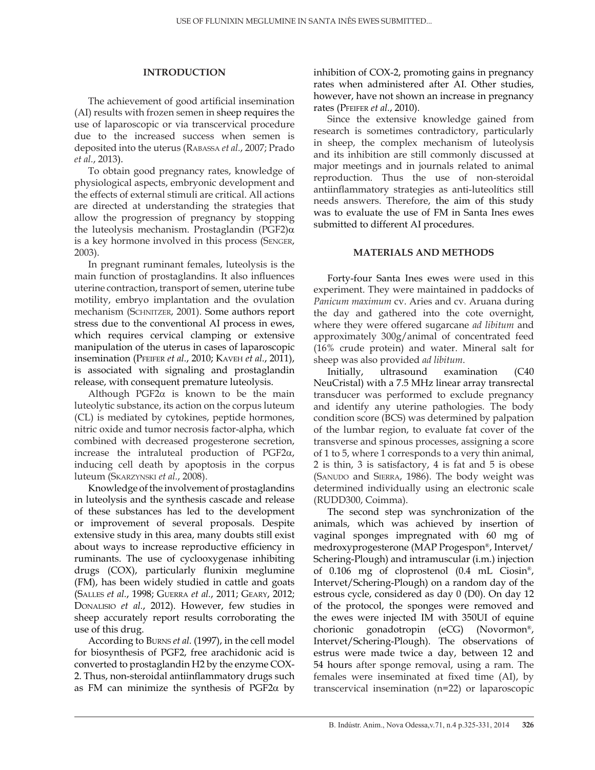#### **INTRODUCTION**

The achievement of good artificial insemination (AI) results with frozen semen in sheep requires the use of laparoscopic or via transcervical procedure due to the increased success when semen is deposited into the uterus (Rabassa *et al.*, 2007; Prado *et al.*, 2013).

To obtain good pregnancy rates, knowledge of physiological aspects, embryonic development and the effects of external stimuli are critical. All actions are directed at understanding the strategies that allow the progression of pregnancy by stopping the luteolysis mechanism. Prostaglandin (PGF2)α is a key hormone involved in this process (Senger, 2003).

In pregnant ruminant females, luteolysis is the main function of prostaglandins. It also influences uterine contraction, transport of semen, uterine tube motility, embryo implantation and the ovulation mechanism (SCHNITZER, 2001). Some authors report stress due to the conventional AI process in ewes, which requires cervical clamping or extensive manipulation of the uterus in cases of laparoscopic insemination (Pfeifer *et al.*, 2010; Kaveh *et al.*, 2011), is associated with signaling and prostaglandin release, with consequent premature luteolysis.

Although PGF2 $\alpha$  is known to be the main luteolytic substance, its action on the corpus luteum (CL) is mediated by cytokines, peptide hormones, nitric oxide and tumor necrosis factor-alpha, which combined with decreased progesterone secretion, increase the intraluteal production of PGF2α, inducing cell death by apoptosis in the corpus luteum (Skarzynski *et al.*, 2008).

Knowledge of the involvement of prostaglandins in luteolysis and the synthesis cascade and release of these substances has led to the development or improvement of several proposals. Despite extensive study in this area, many doubts still exist about ways to increase reproductive efficiency in ruminants. The use of cyclooxygenase inhibiting drugs (COX), particularly flunixin meglumine (FM), has been widely studied in cattle and goats (Salles *et al.*, 1998; Guerra *et al.*, 2011; Geary, 2012; Donalisio *et al.*, 2012). However, few studies in sheep accurately report results corroborating the use of this drug.

According to Burns *et al.* (1997), in the cell model for biosynthesis of PGF2, free arachidonic acid is converted to prostaglandin H2 by the enzyme COX-2. Thus, non-steroidal antiinflammatory drugs such as FM can minimize the synthesis of PGF2 $\alpha$  by inhibition of COX-2, promoting gains in pregnancy rates when administered after AI. Other studies, however, have not shown an increase in pregnancy rates (Pfeifer *et al.*, 2010).

Since the extensive knowledge gained from research is sometimes contradictory, particularly in sheep, the complex mechanism of luteolysis and its inhibition are still commonly discussed at major meetings and in journals related to animal reproduction. Thus the use of non-steroidal antiinflammatory strategies as anti-luteolítics still needs answers. Therefore, the aim of this study was to evaluate the use of FM in Santa Ines ewes submitted to different AI procedures.

### **MATERIALS AND METHODS**

Forty-four Santa Ines ewes were used in this experiment. They were maintained in paddocks of *Panicum maximum* cv. Aries and cv. Aruana during the day and gathered into the cote overnight, where they were offered sugarcane *ad libitum* and approximately 300g/animal of concentrated feed (16% crude protein) and water. Mineral salt for sheep was also provided *ad libitum*.

Initially, ultrasound examination (C40 NeuCristal) with a 7.5 MHz linear array transrectal transducer was performed to exclude pregnancy and identify any uterine pathologies. The body condition score (BCS) was determined by palpation of the lumbar region, to evaluate fat cover of the transverse and spinous processes, assigning a score of 1 to 5, where 1 corresponds to a very thin animal, 2 is thin, 3 is satisfactory, 4 is fat and 5 is obese (SANUDO and SIERRA, 1986). The body weight was determined individually using an electronic scale (RUDD300, Coimma).

The second step was synchronization of the animals, which was achieved by insertion of vaginal sponges impregnated with 60 mg of medroxyprogesterone (MAP Progespon®, Intervet/ Schering-Plough) and intramuscular (i.m.) injection of 0.106 mg of cloprostenol (0.4 mL Ciosin®, Intervet/Schering-Plough) on a random day of the estrous cycle, considered as day 0 (D0). On day 12 of the protocol, the sponges were removed and the ewes were injected IM with 350UI of equine chorionic gonadotropin (eCG) (Novormon®, Intervet/Schering-Plough). The observations of estrus were made twice a day, between 12 and 54 hours after sponge removal, using a ram. The females were inseminated at fixed time (AI), by transcervical insemination (n=22) or laparoscopic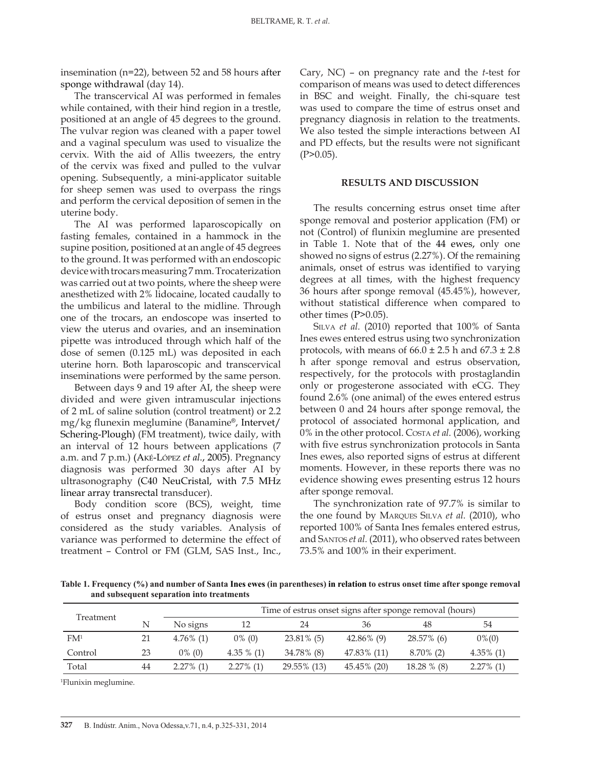insemination (n=22), between 52 and 58 hours after sponge withdrawal (day 14).

The transcervical AI was performed in females while contained, with their hind region in a trestle, positioned at an angle of 45 degrees to the ground. The vulvar region was cleaned with a paper towel and a vaginal speculum was used to visualize the cervix. With the aid of Allis tweezers, the entry of the cervix was fixed and pulled to the vulvar opening. Subsequently, a mini-applicator suitable for sheep semen was used to overpass the rings and perform the cervical deposition of semen in the uterine body.

The AI was performed laparoscopically on fasting females, contained in a hammock in the supine position, positioned at an angle of 45 degrees to the ground. It was performed with an endoscopic device with trocars measuring 7 mm. Trocaterization was carried out at two points, where the sheep were anesthetized with 2% lidocaine, located caudally to the umbilicus and lateral to the midline. Through one of the trocars, an endoscope was inserted to view the uterus and ovaries, and an insemination pipette was introduced through which half of the dose of semen (0.125 mL) was deposited in each uterine horn. Both laparoscopic and transcervical inseminations were performed by the same person.

Between days 9 and 19 after AI, the sheep were divided and were given intramuscular injections of 2 mL of saline solution (control treatment) or 2.2 mg/kg flunexin meglumine (Banamine®, Intervet/ Schering-Plough) (FM treatment), twice daily, with an interval of 12 hours between applications (7 a.m. and 7 p.m.) (Aké-López *et al.*, 2005). Pregnancy diagnosis was performed 30 days after AI by ultrasonography (C40 NeuCristal, with 7.5 MHz linear array transrectal transducer).

Body condition score (BCS), weight, time of estrus onset and pregnancy diagnosis were considered as the study variables. Analysis of variance was performed to determine the effect of treatment – Control or FM (GLM, SAS Inst., Inc.,

Cary, NC) – on pregnancy rate and the *t*-test for comparison of means was used to detect differences in BSC and weight. Finally, the chi-square test was used to compare the time of estrus onset and pregnancy diagnosis in relation to the treatments. We also tested the simple interactions between AI and PD effects, but the results were not significant  $(P>0.05)$ .

#### **RESULTS AND DISCUSSION**

The results concerning estrus onset time after sponge removal and posterior application (FM) or not (Control) of flunixin meglumine are presented in Table 1. Note that of the 44 ewes, only one showed no signs of estrus (2.27%). Of the remaining animals, onset of estrus was identified to varying degrees at all times, with the highest frequency 36 hours after sponge removal (45.45%), however, without statistical difference when compared to other times (P>0.05).

SILVA *et al.* (2010) reported that 100% of Santa Ines ewes entered estrus using two synchronization protocols, with means of  $66.0 \pm 2.5$  h and  $67.3 \pm 2.8$ h after sponge removal and estrus observation, respectively, for the protocols with prostaglandin only or progesterone associated with eCG. They found 2.6% (one animal) of the ewes entered estrus between 0 and 24 hours after sponge removal, the protocol of associated hormonal application, and 0% in the other protocol. Costa *et al.* (2006), working with five estrus synchronization protocols in Santa Ines ewes, also reported signs of estrus at different moments. However, in these reports there was no evidence showing ewes presenting estrus 12 hours after sponge removal.

The synchronization rate of 97.7% is similar to the one found by Marques Silva *et al.* (2010), who reported 100% of Santa Ines females entered estrus, and Santos *et al.* (2011), who observed rates between 73.5% and 100% in their experiment.

**Table 1. Frequency (%) and number of Santa Ines ewes (in parentheses) in relation to estrus onset time after sponge removal and subsequent separation into treatments**

|                 |    | Time of estrus onset signs after sponge removal (hours) |               |               |               |               |              |
|-----------------|----|---------------------------------------------------------|---------------|---------------|---------------|---------------|--------------|
| Treatment       |    | No signs                                                | 12            | 24            | 36            | 48            | 54           |
| FM <sup>1</sup> |    | $4.76\%$ (1)                                            | $0\%$ (0)     | $23.81\%$ (5) | $42.86\%$ (9) | 28.57% (6)    | $0\%$ (0)    |
| Control         | 23 | $0\%$ (0)                                               | 4.35 $\%$ (1) | 34.78% (8)    | 47.83% (11)   | $8.70\%$ (2)  | $4.35\%$ (1) |
| Total           | 44 | $2.27\%$ (1)                                            | $2.27\%$ (1)  | 29.55% (13)   | 45.45% (20)   | $18.28\%$ (8) | $2.27\%$ (1) |

1 Flunixin meglumine.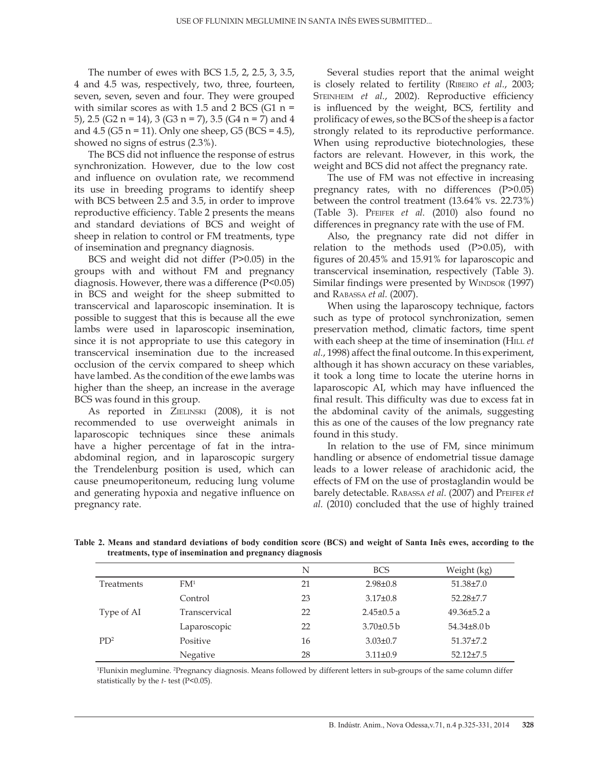The number of ewes with BCS 1.5, 2, 2.5, 3, 3.5, 4 and 4.5 was, respectively, two, three, fourteen, seven, seven, seven and four. They were grouped with similar scores as with 1.5 and 2 BCS (G1  $n =$ 5), 2.5 (G2 n = 14), 3 (G3 n = 7), 3.5 (G4 n = 7) and 4 and  $4.5$  (G5 n = 11). Only one sheep, G5 (BCS =  $4.5$ ), showed no signs of estrus (2.3%).

The BCS did not influence the response of estrus synchronization. However, due to the low cost and influence on ovulation rate, we recommend its use in breeding programs to identify sheep with BCS between 2.5 and 3.5, in order to improve reproductive efficiency. Table 2 presents the means and standard deviations of BCS and weight of sheep in relation to control or FM treatments, type of insemination and pregnancy diagnosis.

BCS and weight did not differ (P>0.05) in the groups with and without FM and pregnancy diagnosis. However, there was a difference (P<0.05) in BCS and weight for the sheep submitted to transcervical and laparoscopic insemination. It is possible to suggest that this is because all the ewe lambs were used in laparoscopic insemination, since it is not appropriate to use this category in transcervical insemination due to the increased occlusion of the cervix compared to sheep which have lambed. As the condition of the ewe lambs was higher than the sheep, an increase in the average BCS was found in this group.

As reported in ZIELINSKI (2008), it is not recommended to use overweight animals in laparoscopic techniques since these animals have a higher percentage of fat in the intraabdominal region, and in laparoscopic surgery the Trendelenburg position is used, which can cause pneumoperitoneum, reducing lung volume and generating hypoxia and negative influence on pregnancy rate.

Several studies report that the animal weight is closely related to fertility (Ribeiro *et al.*, 2003; STEINHEIM et al., 2002). Reproductive efficiency is influenced by the weight, BCS, fertility and prolificacy of ewes, so the BCS of the sheep is a factor strongly related to its reproductive performance. When using reproductive biotechnologies, these factors are relevant. However, in this work, the weight and BCS did not affect the pregnancy rate.

The use of FM was not effective in increasing pregnancy rates, with no differences (P>0.05) between the control treatment (13.64% vs. 22.73%) (Table 3). Pfeifer *et al.* (2010) also found no differences in pregnancy rate with the use of FM.

Also, the pregnancy rate did not differ in relation to the methods used (P>0.05), with figures of 20.45% and 15.91% for laparoscopic and transcervical insemination, respectively (Table 3). Similar findings were presented by WINDSOR (1997) and Rabassa *et al.* (2007).

When using the laparoscopy technique, factors such as type of protocol synchronization, semen preservation method, climatic factors, time spent with each sheep at the time of insemination (HILL *et al.*, 1998) affect the final outcome. In this experiment, although it has shown accuracy on these variables, it took a long time to locate the uterine horns in laparoscopic AI, which may have influenced the final result. This difficulty was due to excess fat in the abdominal cavity of the animals, suggesting this as one of the causes of the low pregnancy rate found in this study.

In relation to the use of FM, since minimum handling or absence of endometrial tissue damage leads to a lower release of arachidonic acid, the effects of FM on the use of prostaglandin would be barely detectable. Rabassa *et al.* (2007) and Pfeifer *et al.* (2010) concluded that the use of highly trained

|                 |                 | N  | <b>BCS</b>       | Weight (kg)       |
|-----------------|-----------------|----|------------------|-------------------|
| Treatments      | FM <sup>1</sup> | 21 | $2.98 \pm 0.8$   | $51.38 \pm 7.0$   |
|                 | Control         | 23 | $3.17 \pm 0.8$   | 52.28±7.7         |
| Type of AI      | Transcervical   | 22 | $2.45 \pm 0.5$ a | 49.36 $\pm$ 5.2 a |
|                 | Laparoscopic    | 22 | $3.70 \pm 0.5 b$ | $54.34\pm8.0$ b   |
| PD <sup>2</sup> | Positive        | 16 | $3.03 \pm 0.7$   | $51.37 \pm 7.2$   |
|                 | Negative        | 28 | $3.11 \pm 0.9$   | $52.12 + 7.5$     |

**Table 2. Means and standard deviations of body condition score (BCS) and weight of Santa Inês ewes, according to the treatments, type of insemination and pregnancy diagnosis**

1 Flunixin meglumine. 2 Pregnancy diagnosis. Means followed by different letters in sub-groups of the same column differ statistically by the *t-* test (P<0.05).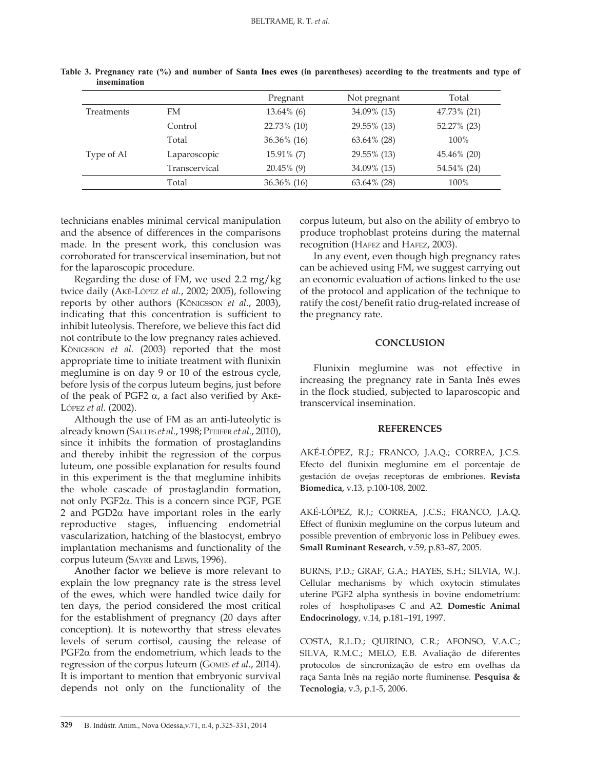|                   |               | Pregnant      | Not pregnant   | Total       |
|-------------------|---------------|---------------|----------------|-------------|
| <b>Treatments</b> | FM            | $13.64\%$ (6) | 34.09% (15)    | 47.73% (21) |
|                   | Control       | 22.73% (10)   | 29.55% (13)    | 52.27% (23) |
|                   | Total         | 36.36% (16)   | $63.64\%$ (28) | 100%        |
| Type of AI        | Laparoscopic  | 15.91% (7)    | 29.55% (13)    | 45.46% (20) |
|                   | Transcervical | $20.45\%$ (9) | 34.09% (15)    | 54.54% (24) |
|                   | Total         | 36.36% (16)   | $63.64\%$ (28) | 100%        |

**Table 3. Pregnancy rate (%) and number of Santa Ines ewes (in parentheses) according to the treatments and type of insemination**

technicians enables minimal cervical manipulation and the absence of differences in the comparisons made. In the present work, this conclusion was corroborated for transcervical insemination, but not for the laparoscopic procedure.

Regarding the dose of FM, we used 2.2 mg/kg twice daily (Aké-López *et al.*, 2002; 2005), following reports by other authors (Königsson *et al.*, 2003), indicating that this concentration is sufficient to inhibit luteolysis. Therefore, we believe this fact did not contribute to the low pregnancy rates achieved. Königsson *et al.* (2003) reported that the most appropriate time to initiate treatment with flunixin meglumine is on day 9 or 10 of the estrous cycle, before lysis of the corpus luteum begins, just before of the peak of PGF2 α, a fact also verified by Aké-López *et al.* (2002).

Although the use of FM as an anti-luteolytic is already known (Salles *et al.*, 1998; Pfeifer *et al.*, 2010), since it inhibits the formation of prostaglandins and thereby inhibit the regression of the corpus luteum, one possible explanation for results found in this experiment is the that meglumine inhibits the whole cascade of prostaglandin formation, not only PGF2α. This is a concern since PGF, PGE 2 and PGD2α have important roles in the early reproductive stages, influencing endometrial vascularization, hatching of the blastocyst, embryo implantation mechanisms and functionality of the corpus luteum (Sayre and Lewis, 1996).

Another factor we believe is more relevant to explain the low pregnancy rate is the stress level of the ewes, which were handled twice daily for ten days, the period considered the most critical for the establishment of pregnancy (20 days after conception). It is noteworthy that stress elevates levels of serum cortisol, causing the release of PGF2 $\alpha$  from the endometrium, which leads to the regression of the corpus luteum (Gomes *et al.*, 2014). It is important to mention that embryonic survival depends not only on the functionality of the

corpus luteum, but also on the ability of embryo to produce trophoblast proteins during the maternal recognition (HAFEZ and HAFEZ, 2003).

In any event, even though high pregnancy rates can be achieved using FM, we suggest carrying out an economic evaluation of actions linked to the use of the protocol and application of the technique to ratify the cost/benefit ratio drug-related increase of the pregnancy rate.

#### **CONCLUSION**

Flunixin meglumine was not effective in increasing the pregnancy rate in Santa Inês ewes in the flock studied, subjected to laparoscopic and transcervical insemination.

## **REFERENCES**

AKÉ-LÓPEZ, R.J.; FRANCO, J.A.Q.; CORREA, J.C.S. Efecto del flunixin meglumine em el porcentaje de gestación de ovejas receptoras de embriones. **Revista Biomedica,** v.13, p.100-108, 2002.

AKÉ-LÓPEZ, R.J.; CORREA, J.C.S.; FRANCO, J.A.Q**.**  Effect of flunixin meglumine on the corpus luteum and possible prevention of embryonic loss in Pelibuey ewes. **Small Ruminant Research**, v.59, p.83–87, 2005.

BURNS, P.D.; GRAF, G.A.; HAYES, S.H.; SILVIA, W.J. Cellular mechanisms by which oxytocin stimulates uterine PGF2 alpha synthesis in bovine endometrium: roles of hospholipases C and A2. **Domestic Animal Endocrinology**, v.14, p.181–191, 1997.

COSTA, R.L.D.; QUIRINO, C.R.; AFONSO, V.A.C.; SILVA, R.M.C.; MELO, E.B. Avaliação de diferentes protocolos de sincronização de estro em ovelhas da raça Santa Inês na região norte fluminense*.* **Pesquisa & Tecnologia**, v.3, p.1-5, 2006.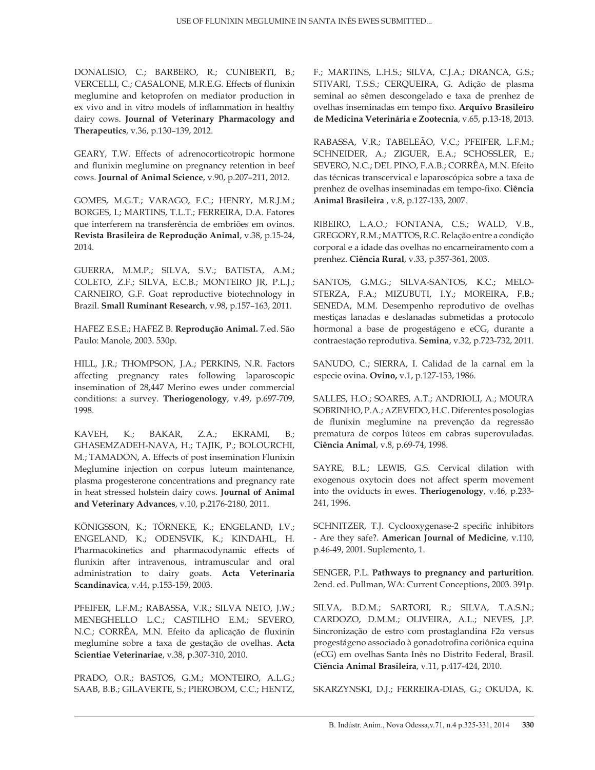DONALISIO, C.; BARBERO, R.; CUNIBERTI, B.; VERCELLI, C.; CASALONE, M.R.E.G. Effects of flunixin meglumine and ketoprofen on mediator production in ex vivo and in vitro models of inflammation in healthy dairy cows. **Journal of Veterinary Pharmacology and Therapeutics**, v.36, p.130–139, 2012.

GEARY, T.W. Effects of adrenocorticotropic hormone and flunixin meglumine on pregnancy retention in beef cows. **Journal of Animal Science**, v.90, p.207–211, 2012.

GOMES, M.G.T.; VARAGO, F.C.; HENRY, M.R.J.M.; BORGES, I.; MARTINS, T.L.T.; FERREIRA, D.A. Fatores que interferem na transferência de embriões em ovinos. **Revista Brasileira de Reprodução Animal**, v.38, p.15-24, 2014.

GUERRA, M.M.P.; SILVA, S.V.; BATISTA, A.M.; COLETO, Z.F.; SILVA, E.C.B.; MONTEIRO JR, P.L.J.; CARNEIRO, G.F. Goat reproductive biotechnology in Brazil. **Small Ruminant Research**, v.98, p.157–163, 2011.

HAFEZ E.S.E.; HAFEZ B. **Reprodução Animal.** 7.ed. São Paulo: Manole, 2003. 530p.

HILL, J.R.; THOMPSON, J.A.; PERKINS, N.R. Factors affecting pregnancy rates following laparoscopic insemination of 28,447 Merino ewes under commercial conditions: a survey. **Theriogenology**, v.49, p.697-709, 1998.

KAVEH, K.; BAKAR, Z.A.; EKRAMI, B.; GHASEMZADEH-NAVA, H.; TAJIK, P.; BOLOURCHI, M.; TAMADON, A. Effects of post insemination Flunixin Meglumine injection on corpus luteum maintenance, plasma progesterone concentrations and pregnancy rate in heat stressed holstein dairy cows. **Journal of Animal and Veterinary Advances**, v.10, p.2176-2180, 2011.

KÖNIGSSON, K.; TÖRNEKE, K.; ENGELAND, I.V.; ENGELAND, K.; ODENSVIK, K.; KINDAHL, H. Pharmacokinetics and pharmacodynamic effects of flunixin after intravenous, intramuscular and oral administration to dairy goats. **Acta Veterinaria Scandinavica**, v.44, p.153-159, 2003.

PFEIFER, L.F.M.; RABASSA, V.R.; SILVA NETO, J.W.; MENEGHELLO L.C.; CASTILHO E.M.; SEVERO, N.C.; CORRÊA, M.N. Efeito da aplicação de fluxinin meglumine sobre a taxa de gestação de ovelhas. **Acta Scientiae Veterinariae**, v.38, p.307-310, 2010.

PRADO, O.R.; BASTOS, G.M.; MONTEIRO, A.L.G.; SAAB, B.B.; GILAVERTE, S.; PIEROBOM, C.C.; HENTZ,

F.; MARTINS, L.H.S.; SILVA, C.J.A.; DRANCA, G.S.; STIVARI, T.S.S.; CERQUEIRA, G. Adição de plasma seminal ao sêmen descongelado e taxa de prenhez de ovelhas inseminadas em tempo fixo. **Arquivo Brasileiro de Medicina Veterinária e Zootecnia**, v.65, p.13-18, 2013.

RABASSA, V.R.; TABELEÃO, V.C.; PFEIFER, L.F.M.; SCHNEIDER, A.; ZIGUER, E.A.; SCHOSSLER, E.; SEVERO, N.C.; DEL PINO, F.A.B.; CORRÊA, M.N. Efeito das técnicas transcervical e laparoscópica sobre a taxa de prenhez de ovelhas inseminadas em tempo-fixo. **Ciência Animal Brasileira** , v.8, p.127-133, 2007.

RIBEIRO, L.A.O.; FONTANA, C.S.; WALD, V.B., GREGORY, R.M.; MATTOS, R.C. Relação entre a condição corporal e a idade das ovelhas no encarneiramento com a prenhez. **Ciência Rural**, v.33, p.357-361, 2003.

SANTOS, G.M.G.; SILVA-SANTOS, K.C.; MELO-STERZA, F.A.; MIZUBUTI, I.Y.; MOREIRA, F.B.; SENEDA, M.M. Desempenho reprodutivo de ovelhas mestiças lanadas e deslanadas submetidas a protocolo hormonal a base de progestágeno e eCG, durante a contraestação reprodutiva. **Semina**, v.32, p.723-732, 2011.

SANUDO, C.; SIERRA, I. Calidad de la carnal em la especie ovina. **Ovino,** v.1, p.127-153, 1986.

SALLES, H.O.; SOARES, A.T.; ANDRIOLI, A.; MOURA SOBRINHO, P.A.; AZEVEDO, H.C. Diferentes posologias de flunixin meglumine na prevenção da regressão prematura de corpos lúteos em cabras superovuladas. **Ciência Animal**, v.8, p.69-74, 1998.

SAYRE, B.L.; LEWIS, G.S. Cervical dilation with exogenous oxytocin does not affect sperm movement into the oviducts in ewes. **Theriogenology**, v.46, p.233- 241, 1996.

SCHNITZER, T.J. Cyclooxygenase-2 specific inhibitors - Are they safe?. **American Journal of Medicine**, v.110, p.46-49, 2001. Suplemento, 1.

SENGER, P.L. **Pathways to pregnancy and parturition**. 2end. ed. Pullman, WA: Current Conceptions, 2003. 391p.

SILVA, B.D.M.; SARTORI, R.; SILVA, T.A.S.N.; CARDOZO, D.M.M.; OLIVEIRA, A.L.; NEVES, J.P. Sincronização de estro com prostaglandina F2α versus progestágeno associado à gonadotrofina coriônica equina (eCG) em ovelhas Santa Inês no Distrito Federal, Brasil. **Ciência Animal Brasileira**, v.11, p.417-424, 2010.

SKARZYNSKI, D.J.; FERREIRA-DIAS, G.; OKUDA, K.